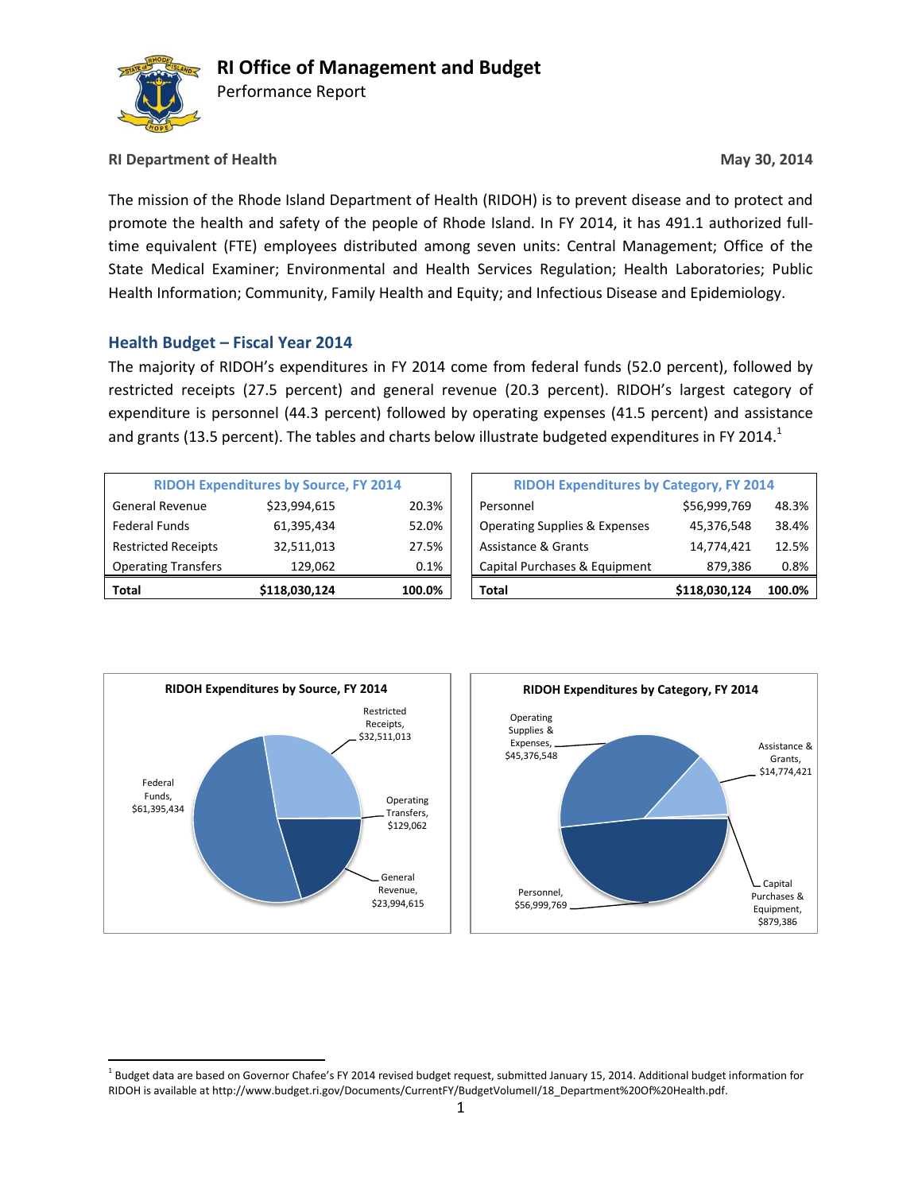

Performance Report

**RI Department of Health May 30, 2014**

The mission of the Rhode Island Department of Health (RIDOH) is to prevent disease and to protect and promote the health and safety of the people of Rhode Island. In FY 2014, it has 491.1 authorized fulltime equivalent (FTE) employees distributed among seven units: Central Management; Office of the State Medical Examiner; Environmental and Health Services Regulation; Health Laboratories; Public Health Information; Community, Family Health and Equity; and Infectious Disease and Epidemiology.

## **Health Budget – Fiscal Year 2014**

The majority of RIDOH's expenditures in FY 2014 come from federal funds (52.0 percent), followed by restricted receipts (27.5 percent) and general revenue (20.3 percent). RIDOH's largest category of expenditure is personnel (44.3 percent) followed by operating expenses (41.5 percent) and assistance and grants (13.5 percent). The tables and charts below illustrate budgeted expenditures in FY 2014.<sup>1</sup>

| Total                                        | \$118,030,124 | 100.0% | Total                                          | \$118,030,124 | 100.0% |
|----------------------------------------------|---------------|--------|------------------------------------------------|---------------|--------|
| <b>Operating Transfers</b>                   | 129.062       | 0.1%   | Capital Purchases & Equipment                  | 879.386       | 0.8%   |
| <b>Restricted Receipts</b>                   | 32,511,013    | 27.5%  | Assistance & Grants                            | 14,774,421    | 12.5%  |
| Federal Funds                                | 61,395,434    | 52.0%  | <b>Operating Supplies &amp; Expenses</b>       | 45,376,548    | 38.4%  |
| <b>General Revenue</b>                       | \$23,994,615  | 20.3%  | Personnel                                      | \$56,999,769  | 48.3%  |
| <b>RIDOH Expenditures by Source, FY 2014</b> |               |        | <b>RIDOH Expenditures by Category, FY 2014</b> |               |        |

|                                              | \$118,030,124 | 100.0% | Total                                          | \$118,030,124 | 100.0% |
|----------------------------------------------|---------------|--------|------------------------------------------------|---------------|--------|
| ng Transfers                                 | 129.062       | 0.1%   | Capital Purchases & Equipment                  | 879.386       | 0.8%   |
| ed Receipts                                  | 32,511,013    | 27.5%  | Assistance & Grants                            | 14.774.421    | 12.5%  |
| <b>Funds</b>                                 | 61,395,434    | 52.0%  | <b>Operating Supplies &amp; Expenses</b>       | 45,376,548    | 38.4%  |
| l Revenue                                    | \$23,994,615  | 20.3%  | Personnel                                      | \$56,999,769  | 48.3%  |
| <b>RIDOH Expenditures by Source, FY 2014</b> |               |        | <b>RIDOH Expenditures by Category, FY 2014</b> |               |        |



 $\overline{\phantom{a}}$ 



<sup>&</sup>lt;sup>1</sup> Budget data are based on Governor Chafee's FY 2014 revised budget request, submitted January 15, 2014. Additional budget information for RIDOH is available at http://www.budget.ri.gov/Documents/CurrentFY/BudgetVolumeII/18\_Department%20Of%20Health.pdf.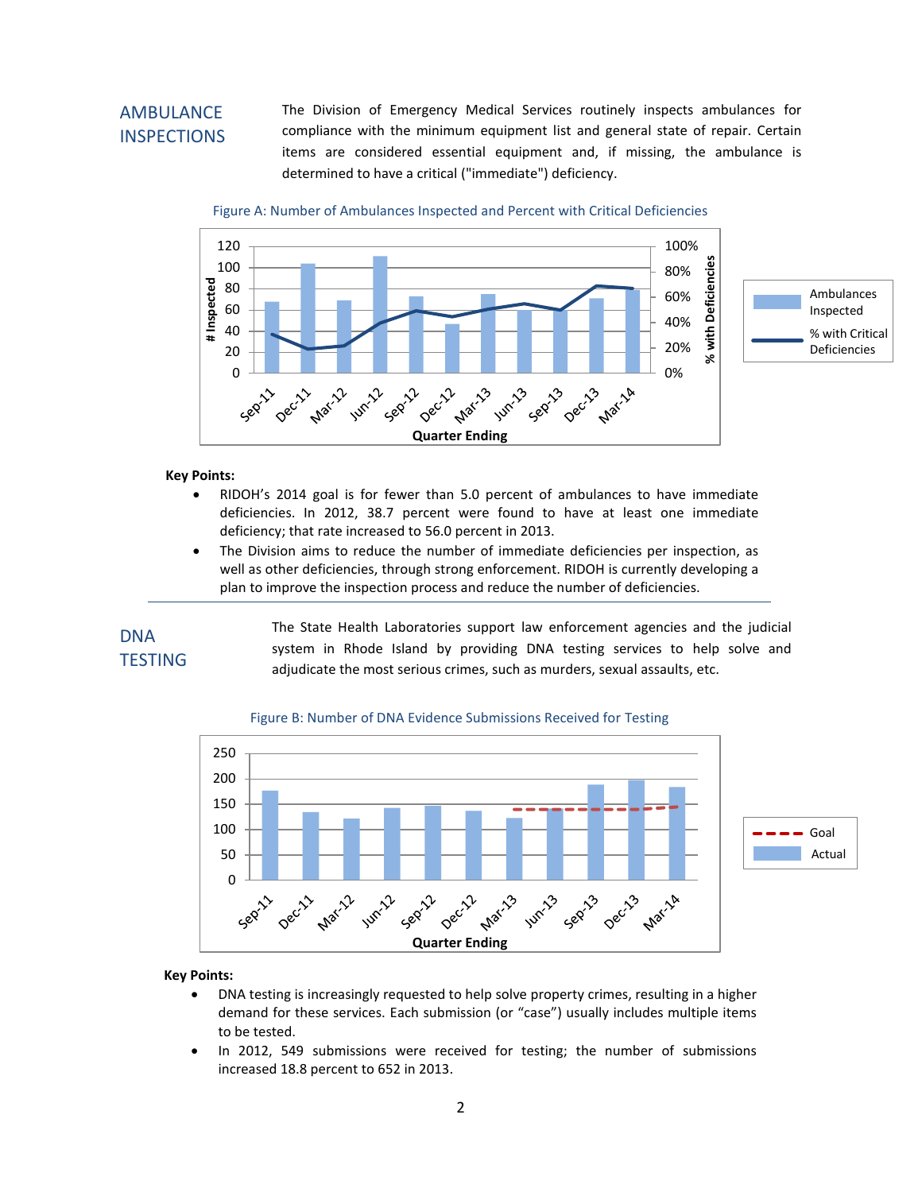## **AMBULANCE** INSPECTIONS

The Division of Emergency Medical Services routinely inspects ambulances for compliance with the minimum equipment list and general state of repair. Certain items are considered essential equipment and, if missing, the ambulance is determined to have a critical ("immediate") deficiency.

Figure A: Number of Ambulances Inspected and Percent with Critical Deficiencies



#### **Key Points:**

- RIDOH's 2014 goal is for fewer than 5.0 percent of ambulances to have immediate deficiencies. In 2012, 38.7 percent were found to have at least one immediate deficiency; that rate increased to 56.0 percent in 2013.
- The Division aims to reduce the number of immediate deficiencies per inspection, as well as other deficiencies, through strong enforcement. RIDOH is currently developing a plan to improve the inspection process and reduce the number of deficiencies.

## DNA **TESTING**

The State Health Laboratories support law enforcement agencies and the judicial system in Rhode Island by providing DNA testing services to help solve and adjudicate the most serious crimes, such as murders, sexual assaults, etc.

#### Figure B: Number of DNA Evidence Submissions Received for Testing



- DNA testing is increasingly requested to help solve property crimes, resulting in a higher demand for these services. Each submission (or "case") usually includes multiple items to be tested.
- In 2012, 549 submissions were received for testing; the number of submissions increased 18.8 percent to 652 in 2013.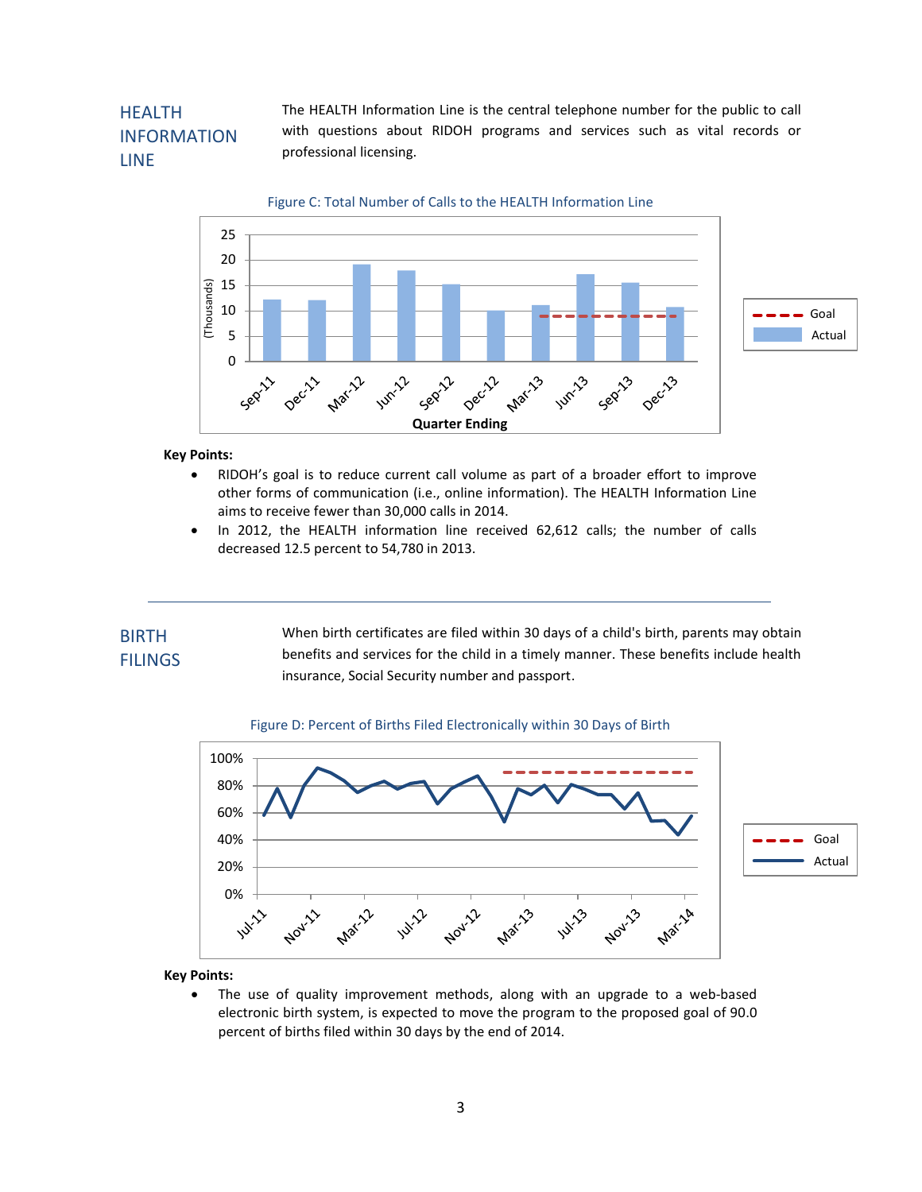## HEALTH INFORMATION LINE

The HEALTH Information Line is the central telephone number for the public to call with questions about RIDOH programs and services such as vital records or professional licensing.





### **Key Points:**

- RIDOH's goal is to reduce current call volume as part of a broader effort to improve other forms of communication (i.e., online information). The HEALTH Information Line aims to receive fewer than 30,000 calls in 2014.
- In 2012, the HEALTH information line received 62,612 calls; the number of calls decreased 12.5 percent to 54,780 in 2013.

## BIRTH FILINGS

When birth certificates are filed within 30 days of a child's birth, parents may obtain benefits and services for the child in a timely manner. These benefits include health insurance, Social Security number and passport.



## Figure D: Percent of Births Filed Electronically within 30 Days of Birth

**Key Points:**

 The use of quality improvement methods, along with an upgrade to a web-based electronic birth system, is expected to move the program to the proposed goal of 90.0 percent of births filed within 30 days by the end of 2014.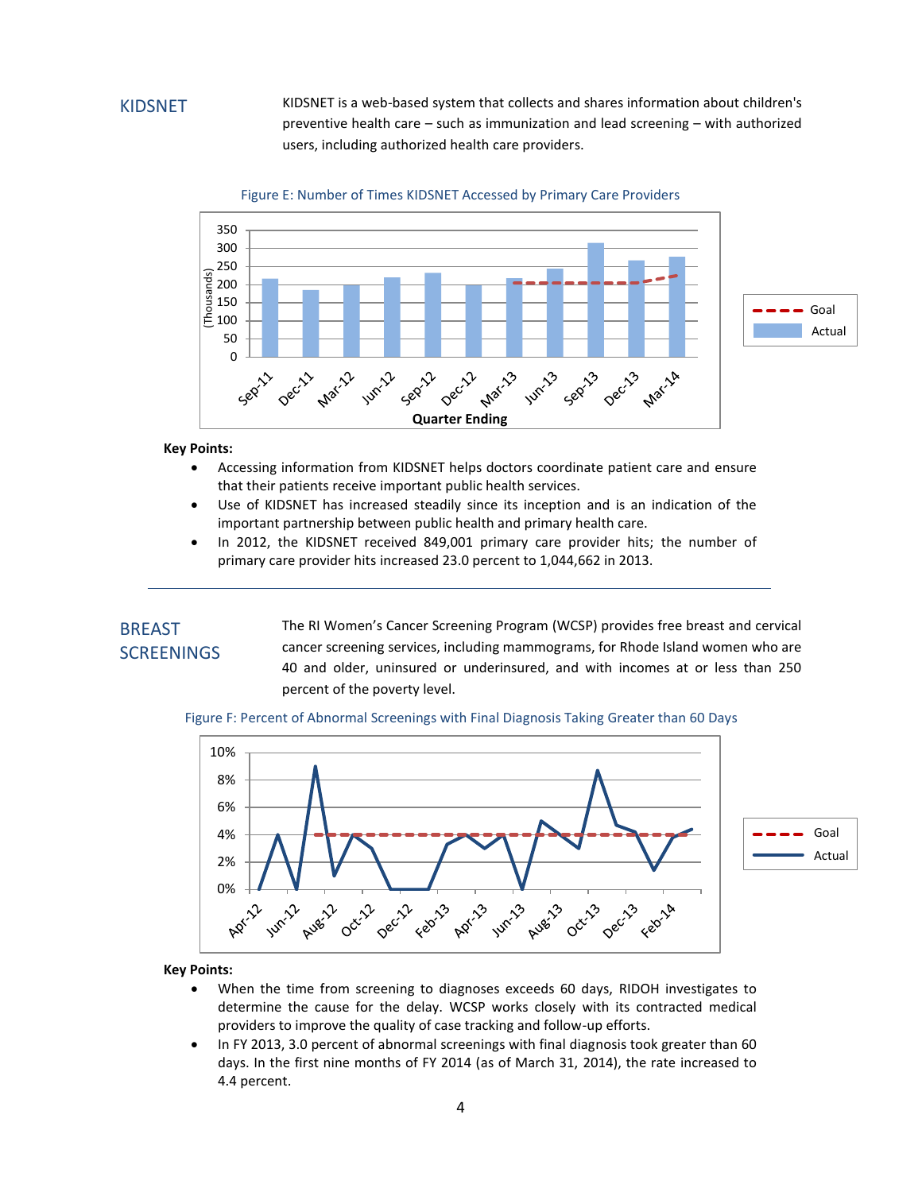KIDSNET is a web-based system that collects and shares information about children's preventive health care – such as immunization and lead screening – with authorized users, including authorized health care providers.

Figure E: Number of Times KIDSNET Accessed by Primary Care Providers



#### **Key Points:**

- Accessing information from KIDSNET helps doctors coordinate patient care and ensure that their patients receive important public health services.
- Use of KIDSNET has increased steadily since its inception and is an indication of the important partnership between public health and primary health care.
- In 2012, the KIDSNET received 849,001 primary care provider hits; the number of primary care provider hits increased 23.0 percent to 1,044,662 in 2013.

## BREAST **SCREENINGS**

The RI Women's Cancer Screening Program (WCSP) provides free breast and cervical cancer screening services, including mammograms, for Rhode Island women who are 40 and older, uninsured or underinsured, and with incomes at or less than 250 percent of the poverty level.





- When the time from screening to diagnoses exceeds 60 days, RIDOH investigates to determine the cause for the delay. WCSP works closely with its contracted medical providers to improve the quality of case tracking and follow-up efforts.
- In FY 2013, 3.0 percent of abnormal screenings with final diagnosis took greater than 60 days. In the first nine months of FY 2014 (as of March 31, 2014), the rate increased to 4.4 percent.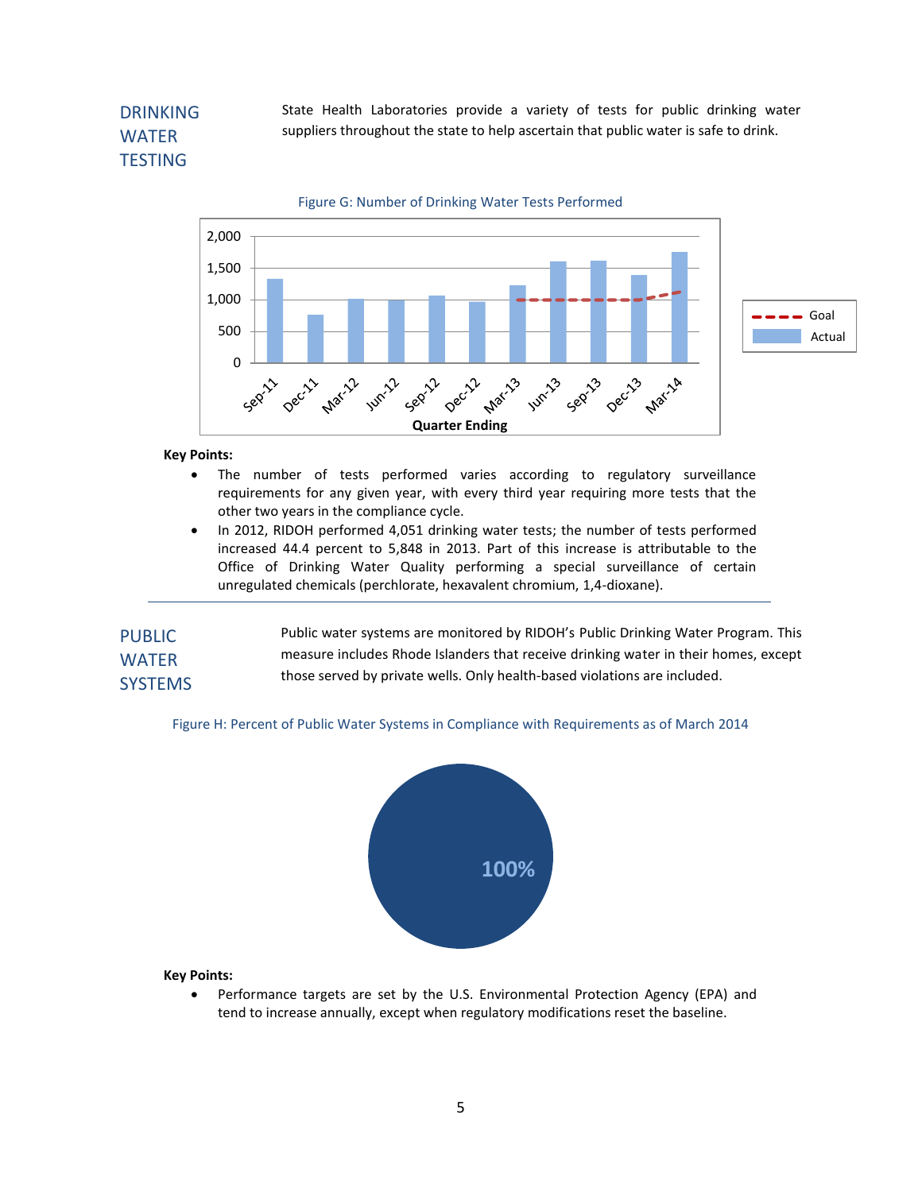# DRINKING WATER **TESTING**

State Health Laboratories provide a variety of tests for public drinking water suppliers throughout the state to help ascertain that public water is safe to drink.



### **Key Points:**

- The number of tests performed varies according to regulatory surveillance requirements for any given year, with every third year requiring more tests that the other two years in the compliance cycle.
- In 2012, RIDOH performed 4,051 drinking water tests; the number of tests performed increased 44.4 percent to 5,848 in 2013. Part of this increase is attributable to the Office of Drinking Water Quality performing a special surveillance of certain unregulated chemicals (perchlorate, hexavalent chromium, 1,4-dioxane).

Public water systems are monitored by RIDOH's Public Drinking Water Program. This measure includes Rhode Islanders that receive drinking water in their homes, except those served by private wells. Only health-based violations are included. PUBLIC WATER **SYSTEMS** 

## Figure H: Percent of Public Water Systems in Compliance with Requirements as of March 2014



### **Key Points:**

 Performance targets are set by the U.S. Environmental Protection Agency (EPA) and tend to increase annually, except when regulatory modifications reset the baseline.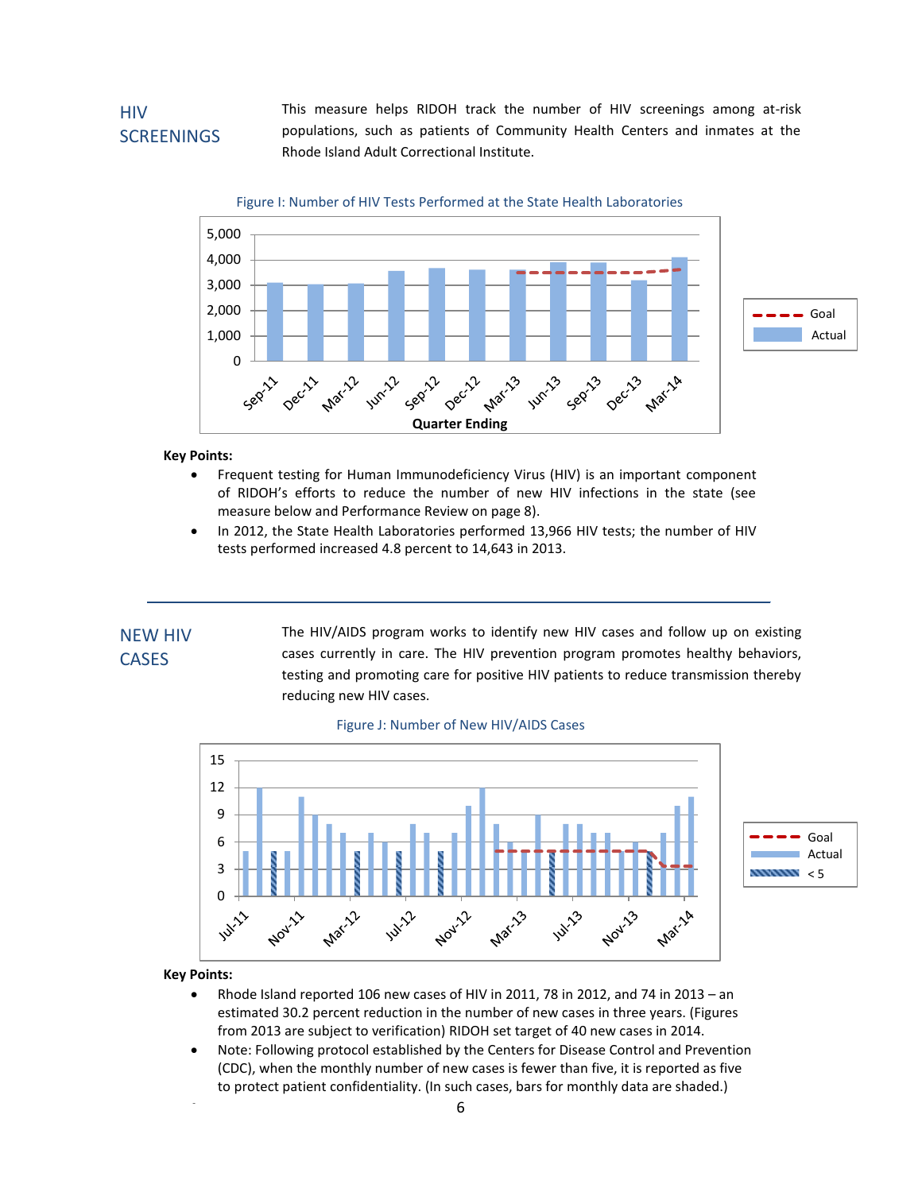## **HIV SCREENINGS**

This measure helps RIDOH track the number of HIV screenings among at-risk populations, such as patients of Community Health Centers and inmates at the Rhode Island Adult Correctional Institute.

Figure I: Number of HIV Tests Performed at the State Health Laboratories



### **Key Points:**

- Frequent testing for Human Immunodeficiency Virus (HIV) is an important component of RIDOH's efforts to reduce the number of new HIV infections in the state (see measure below and Performance Review on page 8).
- In 2012, the State Health Laboratories performed 13,966 HIV tests; the number of HIV tests performed increased 4.8 percent to 14,643 in 2013.

## NEW HIV **CASES**

The HIV/AIDS program works to identify new HIV cases and follow up on existing cases currently in care. The HIV prevention program promotes healthy behaviors, testing and promoting care for positive HIV patients to reduce transmission thereby reducing new HIV cases.



### Figure J: Number of New HIV/AIDS Cases

- Rhode Island reported 106 new cases of HIV in 2011, 78 in 2012, and 74 in 2013 an estimated 30.2 percent reduction in the number of new cases in three years. (Figures from 2013 are subject to verification) RIDOH set target of 40 new cases in 2014.
- Note: Following protocol established by the Centers for Disease Control and Prevention (CDC), when the monthly number of new cases is fewer than five, it is reported as five to protect patient confidentiality. (In such cases, bars for monthly data are shaded.)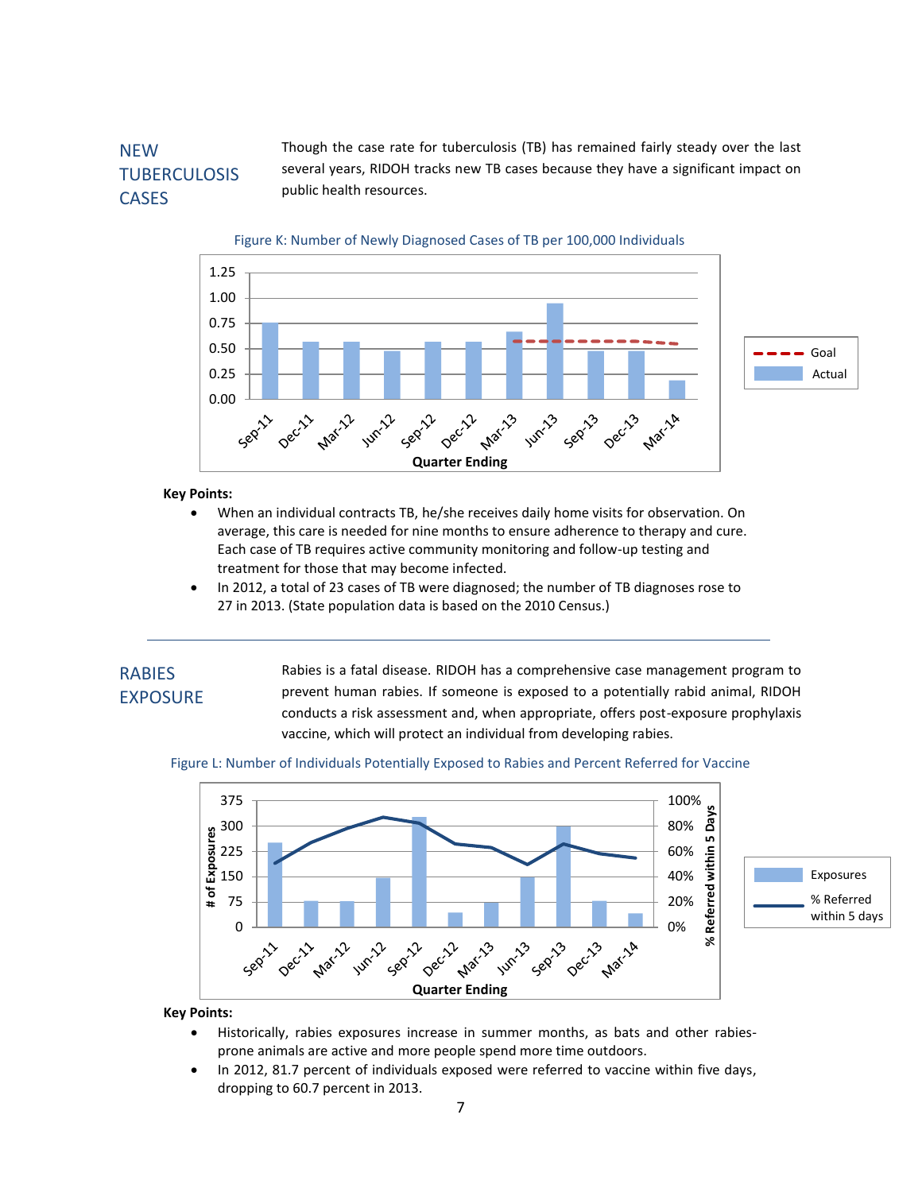## **NEW TUBERCULOSIS** CASES

Though the case rate for tuberculosis (TB) has remained fairly steady over the last several years, RIDOH tracks new TB cases because they have a significant impact on public health resources.

### Figure K: Number of Newly Diagnosed Cases of TB per 100,000 Individuals



### **Key Points:**

- When an individual contracts TB, he/she receives daily home visits for observation. On average, this care is needed for nine months to ensure adherence to therapy and cure. Each case of TB requires active community monitoring and follow-up testing and treatment for those that may become infected.
- In 2012, a total of 23 cases of TB were diagnosed; the number of TB diagnoses rose to 27 in 2013. (State population data is based on the 2010 Census.)

## **RABIES** EXPOSURE

Rabies is a fatal disease. RIDOH has a comprehensive case management program to prevent human rabies. If someone is exposed to a potentially rabid animal, RIDOH conducts a risk assessment and, when appropriate, offers post-exposure prophylaxis vaccine, which will protect an individual from developing rabies.

#### Figure L: Number of Individuals Potentially Exposed to Rabies and Percent Referred for Vaccine



- Historically, rabies exposures increase in summer months, as bats and other rabiesprone animals are active and more people spend more time outdoors.
- In 2012, 81.7 percent of individuals exposed were referred to vaccine within five days, dropping to 60.7 percent in 2013.